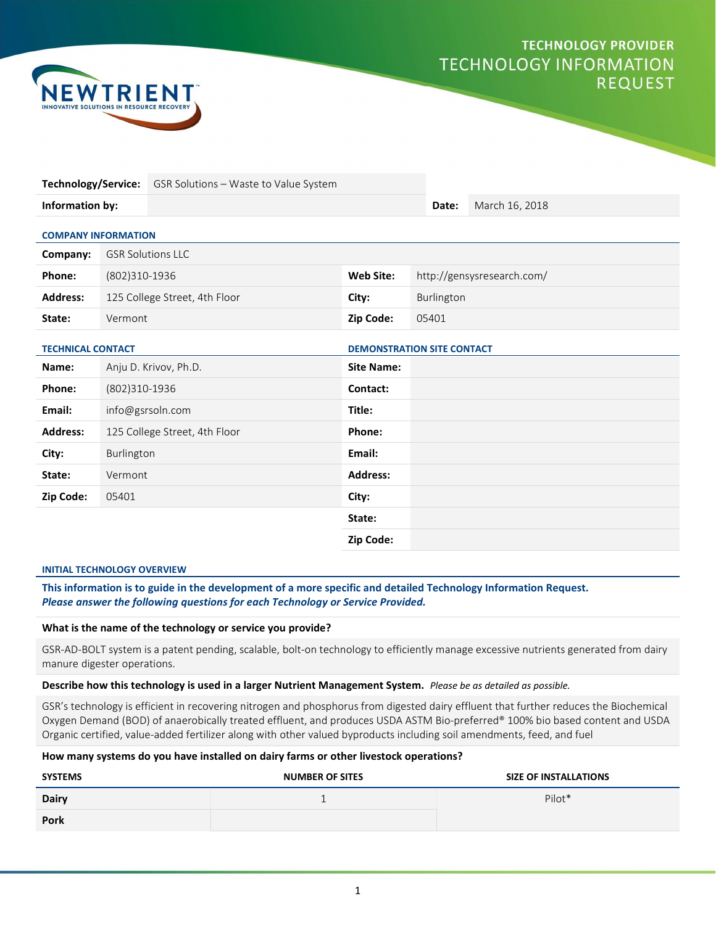# **TECHNOLOGY PROVIDER TECHNOLOGY INFORMATION REQUEST**



|                            |                               | Technology/Service: GSR Solutions - Waste to Value System |                                   |                            |            |                |  |  |
|----------------------------|-------------------------------|-----------------------------------------------------------|-----------------------------------|----------------------------|------------|----------------|--|--|
| Information by:            |                               |                                                           |                                   |                            | Date:      | March 16, 2018 |  |  |
| <b>COMPANY INFORMATION</b> |                               |                                                           |                                   |                            |            |                |  |  |
| Company:                   | <b>GSR Solutions LLC</b>      |                                                           |                                   |                            |            |                |  |  |
| Phone:                     |                               | (802)310-1936                                             |                                   | http://gensysresearch.com/ |            |                |  |  |
| <b>Address:</b>            | 125 College Street, 4th Floor |                                                           | City:                             |                            | Burlington |                |  |  |
| State:                     | Vermont                       |                                                           | Zip Code:                         | 05401                      |            |                |  |  |
| <b>TECHNICAL CONTACT</b>   |                               |                                                           | <b>DEMONSTRATION SITE CONTACT</b> |                            |            |                |  |  |
| Name:                      |                               | Anju D. Krivov, Ph.D.                                     | <b>Site Name:</b>                 |                            |            |                |  |  |
| Phone:                     | (802)310-1936                 |                                                           | Contact:                          |                            |            |                |  |  |
| Email:                     |                               | info@gsrsoln.com                                          | Title:                            |                            |            |                |  |  |
| <b>Address:</b>            |                               | 125 College Street, 4th Floor                             | Phone:                            |                            |            |                |  |  |
| City:<br>Burlington        |                               |                                                           | Email:                            |                            |            |                |  |  |
| Vermont<br>State:          |                               | <b>Address:</b>                                           |                                   |                            |            |                |  |  |
| Zip Code:                  | 05401                         |                                                           | City:                             |                            |            |                |  |  |
|                            |                               |                                                           | State:                            |                            |            |                |  |  |
|                            |                               |                                                           | Zip Code:                         |                            |            |                |  |  |

#### INITIAL TECHNOLOGY OVERVIEW

This information is to guide in the development of a more specific and detailed Technology Information Request. Please answer the following questions for each Technology or Service Provided.

#### What is the name of the technology or service you provide?

GSR-AD-BOLT system is a patent pending, scalable, bolt-on technology to efficiently manage excessive nutrients generated from dairy manure digester operations.

#### Describe how this technology is used in a larger Nutrient Management System. Please be as detailed as possible.

GSR's technology is efficient in recovering nitrogen and phosphorus from digested dairy effluent that further reduces the Biochemical Oxygen Demand (BOD) of anaerobically treated effluent, and produces USDA ASTM Bio-preferred® 100% bio based content and USDA Organic certified, value-added fertilizer along with other valued byproducts including soil amendments, feed, and fuel

# How many systems do you have installed on dairy farms or other livestock operations?

| <b>SYSTEMS</b> | <b>NUMBER OF SITES</b> | <b>SIZE OF INSTALLATIONS</b> |
|----------------|------------------------|------------------------------|
| <b>Dairy</b>   |                        | Pilot*                       |
| Pork           |                        |                              |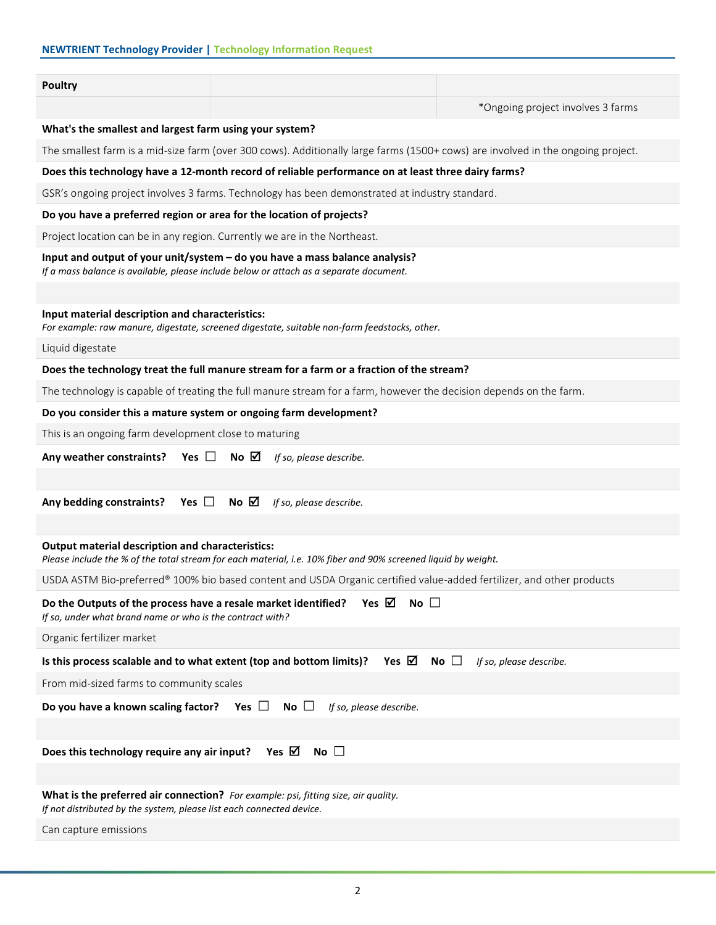# NEWTRIENT Technology Provider | Technology Information Request

#### Poultry

\*Ongoing project involves 3 farms

# What's the smallest and largest farm using your system?

The smallest farm is a mid-size farm (over 300 cows). Additionally large farms (1500+ cows) are involved in the ongoing project.

#### Does this technology have a 12-month record of reliable performance on at least three dairy farms?

GSR's ongoing project involves 3 farms. Technology has been demonstrated at industry standard.

#### Do you have a preferred region or area for the location of projects?

Project location can be in any region. Currently we are in the Northeast.

#### Input and output of your unit/system – do you have a mass balance analysis?

If a mass balance is available, please include below or attach as a separate document.

#### Input material description and characteristics:

For example: raw manure, digestate, screened digestate, suitable non-farm feedstocks, other.

Liquid digestate

#### Does the technology treat the full manure stream for a farm or a fraction of the stream?

The technology is capable of treating the full manure stream for a farm, however the decision depends on the farm.

#### Do you consider this a mature system or ongoing farm development?

This is an ongoing farm development close to maturing

| Any weather constraints? Yes $\Box$ No $\Box$ If so, please describe. |  |  |  |
|-----------------------------------------------------------------------|--|--|--|
|-----------------------------------------------------------------------|--|--|--|

Any bedding constraints? Yes  $\Box$  No  $\Box$  If so, please describe.

#### Output material description and characteristics:

Please include the % of the total stream for each material, i.e. 10% fiber and 90% screened liquid by weight.

USDA ASTM Bio-preferred® 100% bio based content and USDA Organic certified value-added fertilizer, and other products

| Yes ⊠<br>$No$ $\Box$<br>Do the Outputs of the process have a resale market identified?<br>If so, under what brand name or who is the contract with?               |
|-------------------------------------------------------------------------------------------------------------------------------------------------------------------|
| Organic fertilizer market                                                                                                                                         |
| Yes $\boxtimes$ No $\Box$<br>Is this process scalable and to what extent (top and bottom limits)?<br>If so, please describe.                                      |
| From mid-sized farms to community scales                                                                                                                          |
| Do you have a known scaling factor? Yes $\Box$ No $\Box$<br>If so, please describe.                                                                               |
|                                                                                                                                                                   |
| Yes $\boxtimes$<br>No $\square$<br>Does this technology require any air input?                                                                                    |
|                                                                                                                                                                   |
| <b>What is the preferred air connection?</b> For example: psi, fitting size, air quality.<br>If not distributed by the system, please list each connected device. |
| Can capture emissions                                                                                                                                             |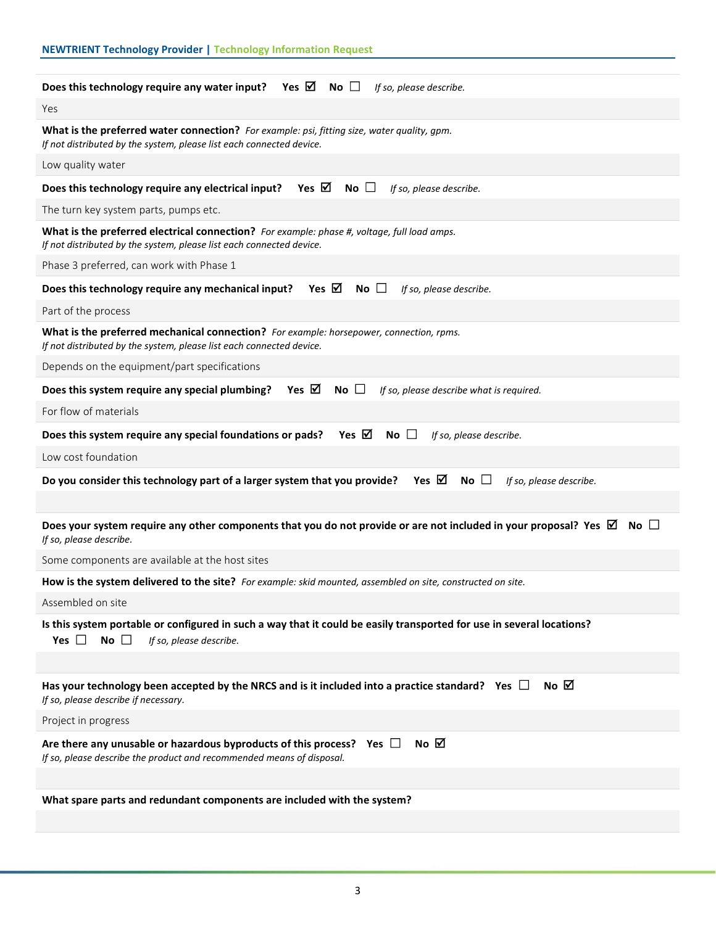| <b>NEWTRIENT Technology Provider   Technology Information Request</b>                                                                                                          |
|--------------------------------------------------------------------------------------------------------------------------------------------------------------------------------|
| Does this technology require any water input? Yes $\boxtimes$ No $\Box$<br>If so, please describe.                                                                             |
| Yes                                                                                                                                                                            |
| What is the preferred water connection? For example: psi, fitting size, water quality, gpm.<br>If not distributed by the system, please list each connected device.            |
| Low quality water                                                                                                                                                              |
| Yes $\boxtimes$<br>No $\square$<br>Does this technology require any electrical input?<br>If so, please describe.                                                               |
| The turn key system parts, pumps etc.                                                                                                                                          |
| What is the preferred electrical connection? For example: phase #, voltage, full load amps.<br>If not distributed by the system, please list each connected device.            |
| Phase 3 preferred, can work with Phase 1                                                                                                                                       |
| Yes $\boxtimes$<br>Does this technology require any mechanical input?<br>$No$ $\Box$<br>If so, please describe.                                                                |
| Part of the process                                                                                                                                                            |
| What is the preferred mechanical connection? For example: horsepower, connection, rpms.<br>If not distributed by the system, please list each connected device.                |
| Depends on the equipment/part specifications                                                                                                                                   |
| Yes $\boxtimes$<br>Does this system require any special plumbing?<br>No $\square$<br>If so, please describe what is required.                                                  |
| For flow of materials                                                                                                                                                          |
| Yes $\boxtimes$<br>Does this system require any special foundations or pads?<br>$No \; \Box$<br>If so, please describe.                                                        |
| Low cost foundation                                                                                                                                                            |
| Yes $\boxtimes$<br>Do you consider this technology part of a larger system that you provide?<br>No $\square$<br>If so, please describe.                                        |
|                                                                                                                                                                                |
| Does your system require any other components that you do not provide or are not included in your proposal? Yes $\boxtimes$<br>No $\square$<br>If so, please describe.         |
| Some components are available at the host sites                                                                                                                                |
| How is the system delivered to the site? For example: skid mounted, assembled on site, constructed on site.                                                                    |
| Assembled on site                                                                                                                                                              |
| Is this system portable or configured in such a way that it could be easily transported for use in several locations?<br>Yes $\Box$<br>No $\square$<br>If so, please describe. |
|                                                                                                                                                                                |
| No $\boxtimes$<br>Has your technology been accepted by the NRCS and is it included into a practice standard? Yes $\Box$<br>If so, please describe if necessary.                |
| Project in progress                                                                                                                                                            |
| No $\boxtimes$<br>Are there any unusable or hazardous byproducts of this process? Yes $\Box$<br>If so, please describe the product and recommended means of disposal.          |
|                                                                                                                                                                                |
| What spare parts and redundant components are included with the system?                                                                                                        |
|                                                                                                                                                                                |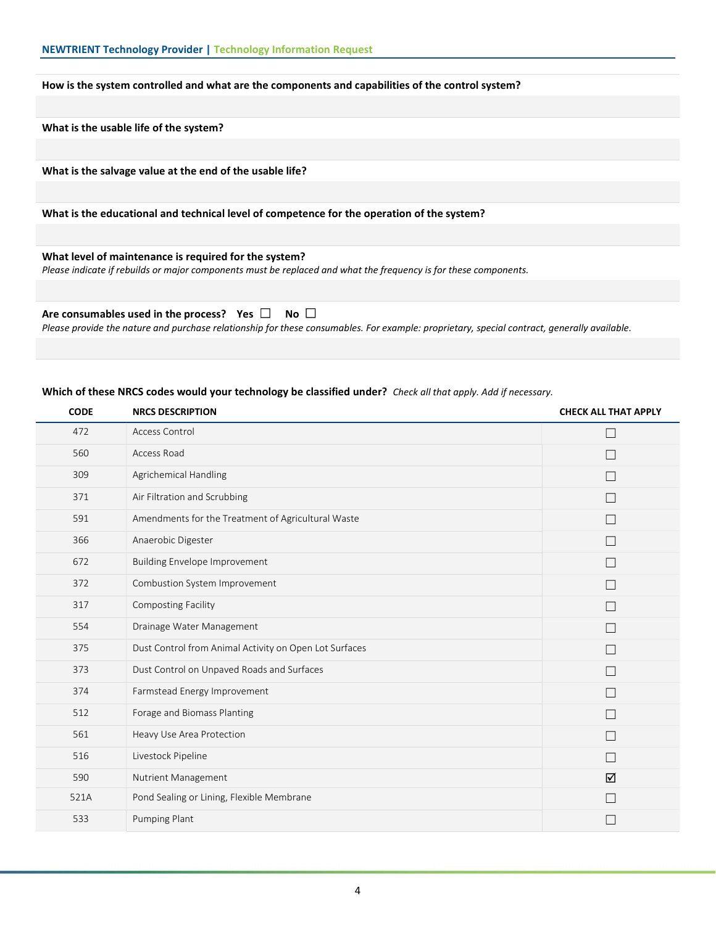#### How is the system controlled and what are the components and capabilities of the control system?

What is the usable life of the system?

What is the salvage value at the end of the usable life?

What is the educational and technical level of competence for the operation of the system?

# What level of maintenance is required for the system?

Please indicate if rebuilds or major components must be replaced and what the frequency is for these components.

# Are consumables used in the process? Yes  $\Box$  No  $\Box$

Please provide the nature and purchase relationship for these consumables. For example: proprietary, special contract, generally available.

## Which of these NRCS codes would your technology be classified under? Check all that apply. Add if necessary.

| <b>CODE</b> | <b>NRCS DESCRIPTION</b>                                | <b>CHECK ALL THAT APPLY</b> |
|-------------|--------------------------------------------------------|-----------------------------|
| 472         | Access Control                                         | $\Box$                      |
| 560         | Access Road                                            |                             |
| 309         | Agrichemical Handling                                  | $\Box$                      |
| 371         | Air Filtration and Scrubbing                           | П                           |
| 591         | Amendments for the Treatment of Agricultural Waste     | $\Box$                      |
| 366         | Anaerobic Digester                                     | $\Box$                      |
| 672         | <b>Building Envelope Improvement</b>                   | П                           |
| 372         | Combustion System Improvement                          | $\Box$                      |
| 317         | Composting Facility                                    | $\Box$                      |
| 554         | Drainage Water Management                              | $\Box$                      |
| 375         | Dust Control from Animal Activity on Open Lot Surfaces | П                           |
| 373         | Dust Control on Unpaved Roads and Surfaces             | $\Box$                      |
| 374         | Farmstead Energy Improvement                           | П                           |
| 512         | Forage and Biomass Planting                            | $\Box$                      |
| 561         | Heavy Use Area Protection                              | П                           |
| 516         | Livestock Pipeline                                     | П                           |
| 590         | Nutrient Management                                    | ☑                           |
| 521A        | Pond Sealing or Lining, Flexible Membrane              |                             |
| 533         | Pumping Plant                                          |                             |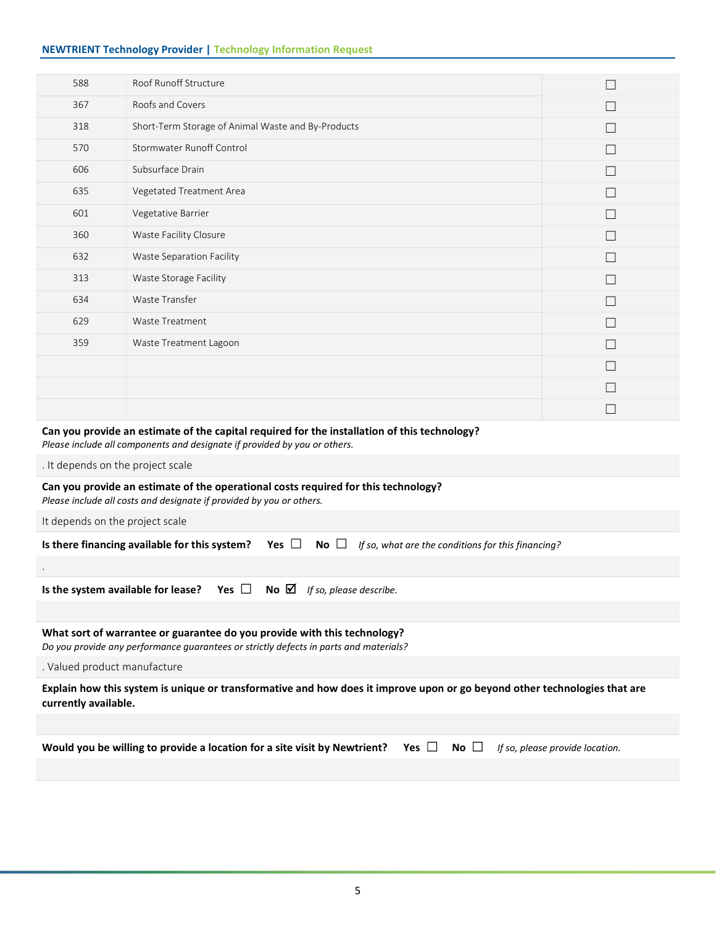# NEWTRIENT Technology Provider | Technology Information Request

| 588 | Roof Runoff Structure                                                                                                                   |              |
|-----|-----------------------------------------------------------------------------------------------------------------------------------------|--------------|
| 367 | Roofs and Covers                                                                                                                        |              |
| 318 | Short-Term Storage of Animal Waste and By-Products                                                                                      |              |
| 570 | <b>Stormwater Runoff Control</b>                                                                                                        | $\Box$       |
| 606 | Subsurface Drain                                                                                                                        |              |
| 635 | Vegetated Treatment Area                                                                                                                |              |
| 601 | Vegetative Barrier                                                                                                                      | Г            |
| 360 | Waste Facility Closure                                                                                                                  | $\Box$       |
| 632 | Waste Separation Facility                                                                                                               |              |
| 313 | Waste Storage Facility                                                                                                                  |              |
| 634 | Waste Transfer                                                                                                                          | $\Box$       |
| 629 | Waste Treatment                                                                                                                         | П            |
| 359 | Waste Treatment Lagoon                                                                                                                  |              |
|     |                                                                                                                                         | $\mathbf{L}$ |
|     |                                                                                                                                         | Г            |
|     |                                                                                                                                         | Г            |
|     | $\alpha$ , and the contract of the contract of the contract of the contract of the contract of the contract of the contract of $\alpha$ |              |

# Can you provide an estimate of the capital required for the installation of this technology?

Please include all components and designate if provided by you or others.

. It depends on the project scale

# Can you provide an estimate of the operational costs required for this technology?

Please include all costs and designate if provided by you or others.

It depends on the project scale

.

|  |  |  | Is there financing available for this system? Yes $\Box$ No $\Box$ If so, what are the conditions for this financing? |
|--|--|--|-----------------------------------------------------------------------------------------------------------------------|
|--|--|--|-----------------------------------------------------------------------------------------------------------------------|

Is the system available for lease? Yes  $\Box$  No  $\Box$  If so, please describe.

# What sort of warrantee or guarantee do you provide with this technology?

Do you provide any performance guarantees or strictly defects in parts and materials?

. Valued product manufacture

Explain how this system is unique or transformative and how does it improve upon or go beyond other technologies that are currently available.

| Would you be willing to provide a location for a site visit by Newtrient? Yes $\Box$ No $\Box$ If so, please provide location. |  |  |  |
|--------------------------------------------------------------------------------------------------------------------------------|--|--|--|
|--------------------------------------------------------------------------------------------------------------------------------|--|--|--|